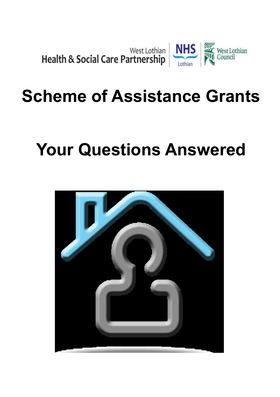

# **Scheme of Assistance Grants**

# **Your Questions Answered**

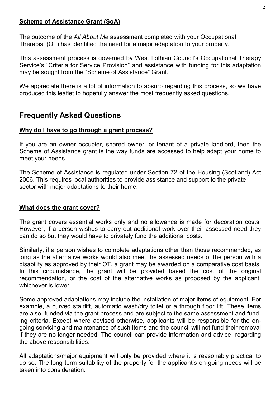#### **Scheme of Assistance Grant (SoA)**

The outcome of the *All About Me* assessment completed with your Occupational Therapist (OT) has identified the need for a major adaptation to your property.

This assessment process is governed by West Lothian Council's Occupational Therapy Service's "Criteria for Service Provision" and assistance with funding for this adaptation may be sought from the "Scheme of Assistance" Grant.

We appreciate there is a lot of information to absorb regarding this process, so we have produced this leaflet to hopefully answer the most frequently asked questions.

## **Frequently Asked Questions**

#### **Why do I have to go through a grant process?**

If you are an owner occupier, shared owner, or tenant of a private landlord, then the Scheme of Assistance grant is the way funds are accessed to help adapt your home to meet your needs.

The Scheme of Assistance is regulated under Section 72 of the Housing (Scotland) Act 2006. This requires local authorities to provide assistance and support to the private sector with major adaptations to their home.

#### **What does the grant cover?**

The grant covers essential works only and no allowance is made for decoration costs. However, if a person wishes to carry out additional work over their assessed need they can do so but they would have to privately fund the additional costs.

Similarly, if a person wishes to complete adaptations other than those recommended, as long as the alternative works would also meet the assessed needs of the person with a disability as approved by their OT, a grant may be awarded on a comparative cost basis. In this circumstance, the grant will be provided based the cost of the original recommendation, or the cost of the alternative works as proposed by the applicant, whichever is lower.

Some approved adaptations may include the installation of major items of equipment. For example, a curved stairlift, automatic wash/dry toilet or a through floor lift. These items are also funded via the grant process and are subject to the same assessment and funding criteria. Except where advised otherwise, applicants will be responsible for the ongoing servicing and maintenance of such items and the council will not fund their removal if they are no longer needed. The council can provide information and advice regarding the above responsibilities.

All adaptations/major equipment will only be provided where it is reasonably practical to do so. The long term suitability of the property for the applicant's on-going needs will be taken into consideration.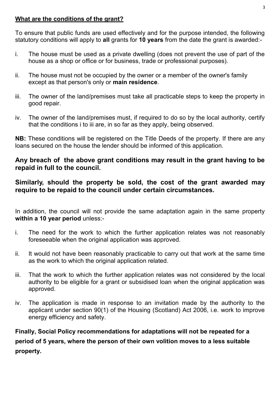#### **What are the conditions of the grant?**

To ensure that public funds are used effectively and for the purpose intended, the following statutory conditions will apply to **all** grants for **10 years** from the date the grant is awarded:-

- i. The house must be used as a private dwelling (does not prevent the use of part of the house as a shop or office or for business, trade or professional purposes).
- ii. The house must not be occupied by the owner or a member of the owner's family except as that person's only or **main residence**.
- iii. The owner of the land/premises must take all practicable steps to keep the property in good repair.
- iv. The owner of the land/premises must, if required to do so by the local authority, certify that the conditions i to iii are, in so far as they apply, being observed.

**NB:** These conditions will be registered on the Title Deeds of the property. If there are any loans secured on the house the lender should be informed of this application.

#### **Any breach of the above grant conditions may result in the grant having to be repaid in full to the council.**

#### **Similarly, should the property be sold, the cost of the grant awarded may require to be repaid to the council under certain circumstances.**

In addition, the council will not provide the same adaptation again in the same property **within a 10 year period** unless:-

- i. The need for the work to which the further application relates was not reasonably foreseeable when the original application was approved.
- ii. It would not have been reasonably practicable to carry out that work at the same time as the work to which the original application related.
- iii. That the work to which the further application relates was not considered by the local authority to be eligible for a grant or subsidised loan when the original application was approved.
- iv. The application is made in response to an invitation made by the authority to the applicant under section 90(1) of the Housing (Scotland) Act 2006, i.e. work to improve energy efficiency and safety.

**Finally, Social Policy recommendations for adaptations will not be repeated for a period of 5 years, where the person of their own volition moves to a less suitable property.**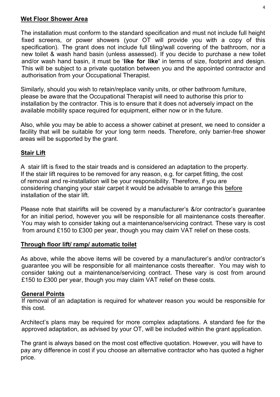#### **Wet Floor Shower Area**

The installation must conform to the standard specification and must not include full height fixed screens, or power showers (your  $QT$  will provide you with a copy of this specification). The grant does not include full tiling/wall covering of the bathroom, nor a new toilet & wash hand basin (unless assessed). If you decide to purchase a new toilet and/or wash hand basin, it must be '**like for like'** in terms of size, footprint and design. This will be subject to a private quotation between you and the appointed contractor and authorisation from your Occupational Therapist.

Similarly, should you wish to retain/replace vanity units, or other bathroom furniture, please be aware that the Occupational Therapist will need to authorise this prior to installation by the contractor. This is to ensure that it does not adversely impact on the available mobility space required for equipment, either now or in the future.

Also, while you may be able to access a shower cabinet at present, we need to consider a facility that will be suitable for your long term needs. Therefore, only barrier-free shower areas will be supported by the grant.

#### **Stair Lift**

A stair lift is fixed to the stair treads and is considered an adaptation to the property. If the stair lift requires to be removed for any reason, e.g. for carpet fitting, the cost of removal and re-installation will be your responsibility. Therefore, if you are considering changing your stair carpet it would be advisable to arrange this before installation of the stair lift.

Please note that stairlifts will be covered by a manufacturer's &/or contractor's guarantee for an initial period, however you will be responsible for all maintenance costs thereafter. You may wish to consider taking out a maintenance/servicing contract. These vary is cost from around £150 to £300 per year, though you may claim VAT relief on these costs.

#### **Through floor lift/ ramp/ automatic toilet**

As above, while the above items will be covered by a manufacturer's and/or contractor's guarantee you will be responsible for all maintenance costs thereafter. You may wish to consider taking out a maintenance/servicing contract. These vary is cost from around £150 to £300 per year, though you may claim VAT relief on these costs.

#### **General Points**

If removal of an adaptation is required for whatever reason you would be responsible for this cost.

Architect's plans may be required for more complex adaptations. A standard fee for the approved adaptation, as advised by your OT, will be included within the grant application.

The grant is always based on the most cost effective quotation. However, you will have to pay any difference in cost if you choose an alternative contractor who has quoted a higher price.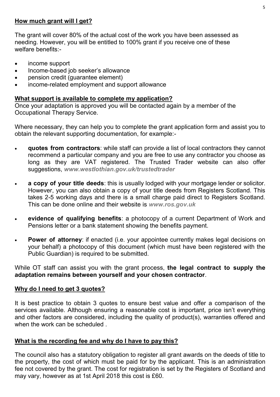#### **How much grant will I get?**

The grant will cover 80% of the actual cost of the work you have been assessed as needing. However, you will be entitled to 100% grant if you receive one of these welfare benefits:-

- income support
- Income-based job seeker's allowance
- pension credit (guarantee element)
- income-related employment and support allowance

#### **What support is available to complete my application?**

Once your adaptation is approved you will be contacted again by a member of the Occupational Therapy Service.

Where necessary, they can help you to complete the grant application form and assist you to obtain the relevant supporting documentation, for example:-

- **quotes from contractors**: while staff can provide a list of local contractors they cannot recommend a particular company and you are free to use any contractor you choose as long as they are VAT registered. The Trusted Trader website can also offer suggestions, *www.westlothian.gov.uk/trustedtrader*
- **a copy of your title deeds**: this is usually lodged with your mortgage lender or solicitor. However, you can also obtain a copy of your title deeds from Registers Scotland. This takes 2-5 working days and there is a small charge paid direct to Registers Scotland. This can be done online and their website is *www.ros.gov.uk*
- **evidence of qualifying benefits**: a photocopy of a current Department of Work and Pensions letter or a bank statement showing the benefits payment.
- **Power of attorney**: if enacted (i.e. your appointee currently makes legal decisions on your behalf) a photocopy of this document (which must have been registered with the Public Guardian) is required to be submitted.

While OT staff can assist you with the grant process, **the legal contract to supply the adaptation remains between yourself and your chosen contractor**.

#### **Why do I need to get 3 quotes?**

It is best practice to obtain 3 quotes to ensure best value and offer a comparison of the services available. Although ensuring a reasonable cost is important, price isn't everything and other factors are considered, including the quality of product(s), warranties offered and when the work can be scheduled.

#### **What is the recording fee and why do I have to pay this?**

The council also has a statutory obligation to register all grant awards on the deeds of title to the property, the cost of which must be paid for by the applicant. This is an administration fee not covered by the grant. The cost for registration is set by the Registers of Scotland and may vary, however as at 1st April 2018 this cost is £60.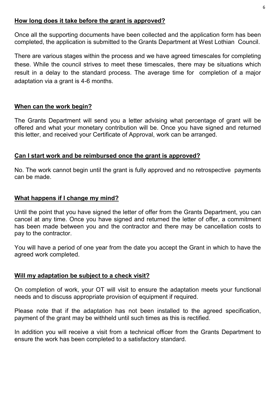#### **How long does it take before the grant is approved?**

Once all the supporting documents have been collected and the application form has been completed, the application is submitted to the Grants Department at West Lothian Council.

There are various stages within the process and we have agreed timescales for completing these. While the council strives to meet these timescales, there may be situations which result in a delay to the standard process. The average time for completion of a major adaptation via a grant is 4-6 months.

#### **When can the work begin?**

The Grants Department will send you a letter advising what percentage of grant will be offered and what your monetary contribution will be. Once you have signed and returned this letter, and received your Certificate of Approval, work can be arranged.

#### **Can I start work and be reimbursed once the grant is approved?**

No. The work cannot begin until the grant is fully approved and no retrospective payments can be made.

#### **What happens if I change my mind?**

Until the point that you have signed the letter of offer from the Grants Department, you can cancel at any time. Once you have signed and returned the letter of offer, a commitment has been made between you and the contractor and there may be cancellation costs to pay to the contractor.

You will have a period of one year from the date you accept the Grant in which to have the agreed work completed.

#### **Will my adaptation be subject to a check visit?**

On completion of work, your OT will visit to ensure the adaptation meets your functional needs and to discuss appropriate provision of equipment if required.

Please note that if the adaptation has not been installed to the agreed specification, payment of the grant may be withheld until such times as this is rectified.

In addition you will receive a visit from a technical officer from the Grants Department to ensure the work has been completed to a satisfactory standard.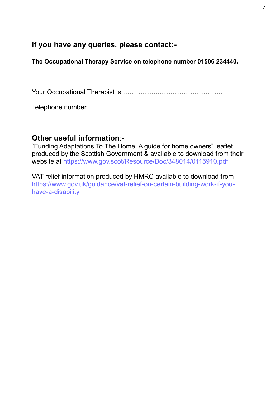### **If you have any queries, please contact:-**

**The Occupational Therapy Service on telephone number 01506 234440.**

Your Occupational Therapist is ……………..………………………..

Telephone number……………………………………………………..

### **Other useful information**:-

"Funding Adaptations To The Home: A guide for home owners" leaflet produced by the Scottish Government & available to download from their website at https://www.gov.scot/Resource/Doc/348014/0115910.pdf

VAT relief information produced by HMRC available to download from https://www.gov.uk/guidance/vat-relief-on-certain-building-work-if-youhave-a-disability